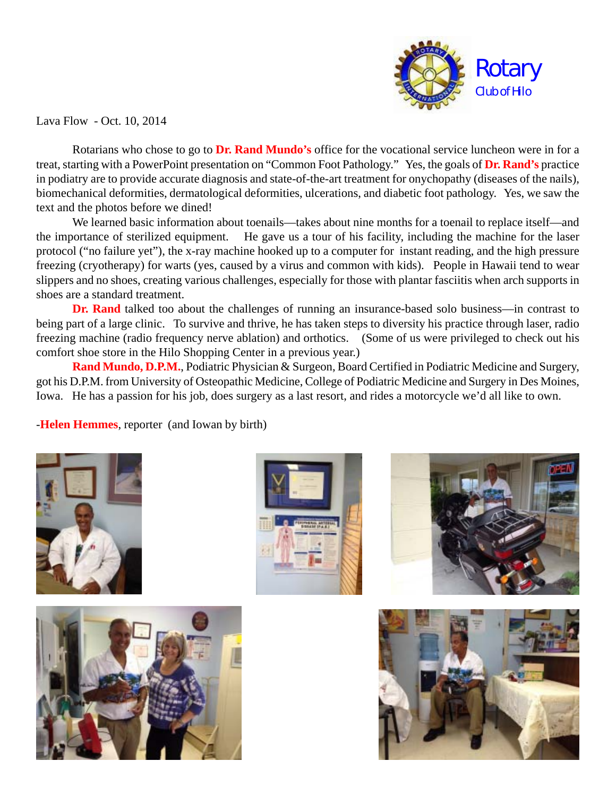

Lava Flow - Oct. 10, 2014

Rotarians who chose to go to **Dr. Rand Mundo's** office for the vocational service luncheon were in for a treat, starting with a PowerPoint presentation on "Common Foot Pathology." Yes, the goals of **Dr. Rand's** practice in podiatry are to provide accurate diagnosis and state-of-the-art treatment for onychopathy (diseases of the nails), biomechanical deformities, dermatological deformities, ulcerations, and diabetic foot pathology. Yes, we saw the text and the photos before we dined!

We learned basic information about toenails—takes about nine months for a toenail to replace itself—and the importance of sterilized equipment. He gave us a tour of his facility, including the machine for the laser protocol ("no failure yet"), the x-ray machine hooked up to a computer for instant reading, and the high pressure freezing (cryotherapy) for warts (yes, caused by a virus and common with kids). People in Hawaii tend to wear slippers and no shoes, creating various challenges, especially for those with plantar fasciitis when arch supports in shoes are a standard treatment.

**Dr. Rand** talked too about the challenges of running an insurance-based solo business—in contrast to being part of a large clinic. To survive and thrive, he has taken steps to diversity his practice through laser, radio freezing machine (radio frequency nerve ablation) and orthotics. (Some of us were privileged to check out his comfort shoe store in the Hilo Shopping Center in a previous year.)

**Rand Mundo, D.P.M.**, Podiatric Physician & Surgeon, Board Certified in Podiatric Medicine and Surgery, got his D.P.M. from University of Osteopathic Medicine, College of Podiatric Medicine and Surgery in Des Moines, Iowa. He has a passion for his job, does surgery as a last resort, and rides a motorcycle we'd all like to own.

-**Helen Hemmes**, reporter (and Iowan by birth)









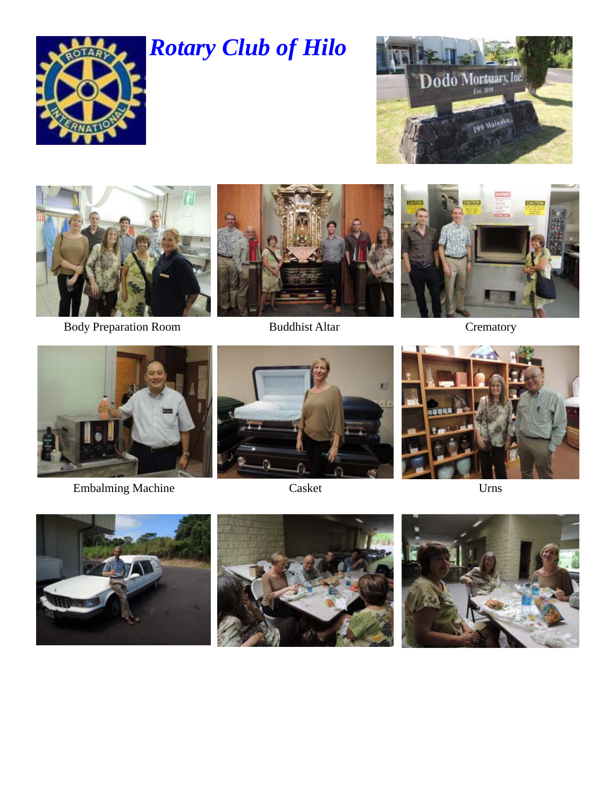

## *Rotary Club of Hilo*





Body Preparation Room Buddhist Altar





**Crematory** 



Embalming Machine Casket Urns



Casket







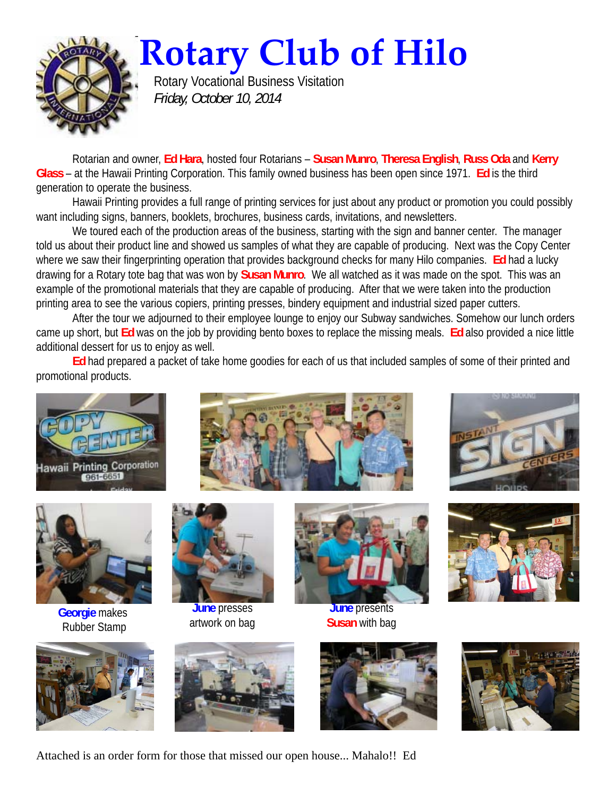

**Rotary Club of Hilo**

Rotary Vocational Business Visitation *Friday, October 10, 2014*

Rotarian and owner, **Ed Hara**, hosted four Rotarians – **Susan Munro**, **Theresa English**, **Russ Oda** and **Kerry Glass** – at the Hawaii Printing Corporation. This family owned business has been open since 1971. **Ed** is the third generation to operate the business.

Hawaii Printing provides a full range of printing services for just about any product or promotion you could possibly want including signs, banners, booklets, brochures, business cards, invitations, and newsletters.

We toured each of the production areas of the business, starting with the sign and banner center. The manager told us about their product line and showed us samples of what they are capable of producing. Next was the Copy Center where we saw their fingerprinting operation that provides background checks for many Hilo companies. **Ed** had a lucky drawing for a Rotary tote bag that was won by **Susan Munro**. We all watched as it was made on the spot. This was an example of the promotional materials that they are capable of producing. After that we were taken into the production printing area to see the various copiers, printing presses, bindery equipment and industrial sized paper cutters.

After the tour we adjourned to their employee lounge to enjoy our Subway sandwiches. Somehow our lunch orders came up short, but **Ed** was on the job by providing bento boxes to replace the missing meals. **Ed** also provided a nice little additional dessert for us to enjoy as well.

**Ed** had prepared a packet of take home goodies for each of us that included samples of some of their printed and promotional products.





**Georgie** makes Rubber Stamp









**June** presses artwork on bag



**June** presents **Susan** with bag







Attached is an order form for those that missed our open house... Mahalo!! Ed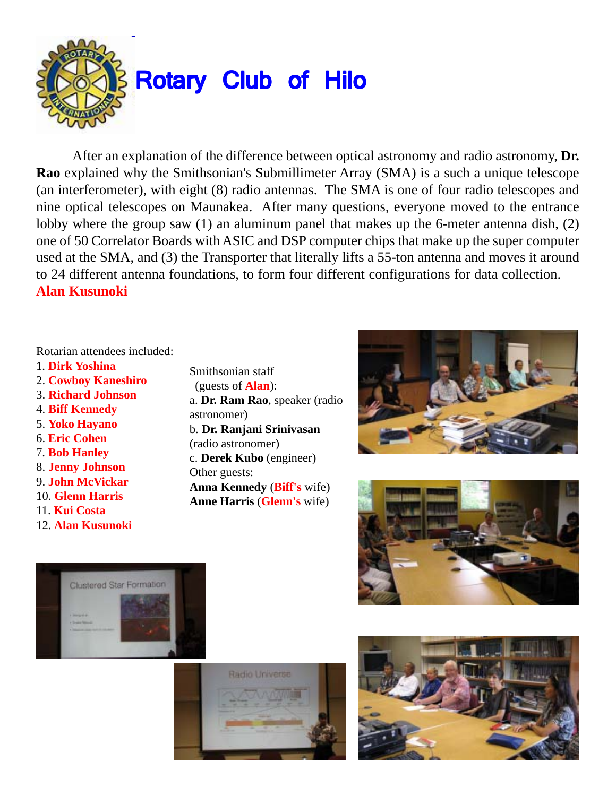

After an explanation of the difference between optical astronomy and radio astronomy, **Dr. Rao** explained why the Smithsonian's Submillimeter Array (SMA) is a such a unique telescope (an interferometer), with eight (8) radio antennas. The SMA is one of four radio telescopes and nine optical telescopes on Maunakea. After many questions, everyone moved to the entrance lobby where the group saw (1) an aluminum panel that makes up the 6-meter antenna dish, (2) one of 50 Correlator Boards with ASIC and DSP computer chips that make up the super computer used at the SMA, and (3) the Transporter that literally lifts a 55-ton antenna and moves it around to 24 different antenna foundations, to form four different configurations for data collection. **Alan Kusunoki**

## Rotarian attendees included:

- 1. **Dirk Yoshina**
- 2. **Cowboy Kaneshiro**
- 3. **Richard Johnson**
- 4. **Biff Kennedy**
- 5. **Yoko Hayano**
- 6. **Eric Cohen**
- 7. **Bob Hanley**
- 8. **Jenny Johnson**
- 9. **John McVickar**
- 10. **Glenn Harris**
- 11. **Kui Costa**
- 12. **Alan Kusunoki**
- Smithsonian staff (guests of **Alan**): a. **Dr. Ram Rao**, speaker (radio astronomer) b. **Dr. Ranjani Srinivasan** (radio astronomer) c. **Derek Kubo** (engineer) Other guests: **Anna Kennedy** (**Biff's** wife) **Anne Harris** (**Glenn's** wife)